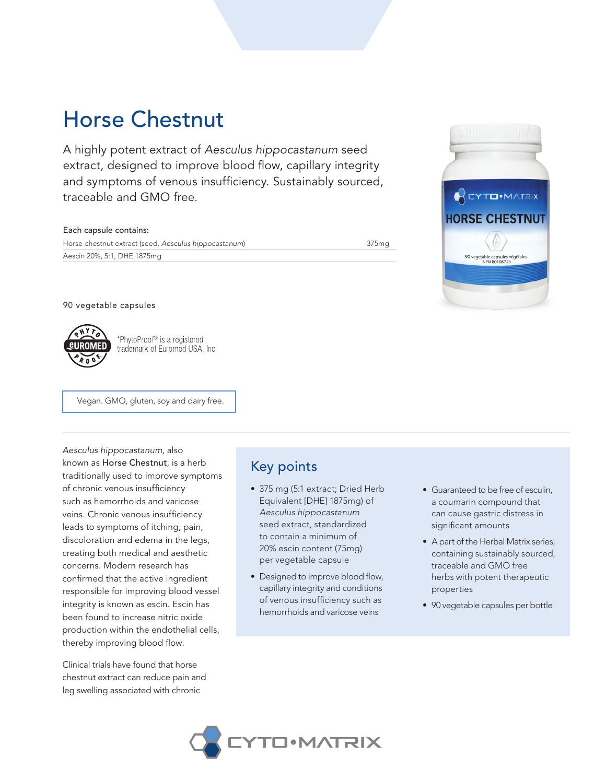# Horse Chestnut

A highly potent extract of *Aesculus hippocastanum* seed extract, designed to improve blood flow, capillary integrity and symptoms of venous insufficiency. Sustainably sourced, traceable and GMO free.

#### Each capsule contains:

Horse-chestnut extract (seed, *Aesculus hippocastanum*) 375mg Aescin 20%, 5:1, DHE 1875mg



### 90 vegetable capsules



\*PhytoProof® is a registered trademark of Euromed USA, Inc

Vegan. GMO, gluten, soy and dairy free.

*Aesculus hippocastanum*, also known as Horse Chestnut, is a herb traditionally used to improve symptoms of chronic venous insufficiency such as hemorrhoids and varicose veins. Chronic venous insufficiency leads to symptoms of itching, pain, discoloration and edema in the legs, creating both medical and aesthetic concerns. Modern research has confirmed that the active ingredient responsible for improving blood vessel integrity is known as escin. Escin has been found to increase nitric oxide production within the endothelial cells, thereby improving blood flow.

Clinical trials have found that horse chestnut extract can reduce pain and leg swelling associated with chronic

### Key points

- 375 mg (5:1 extract; Dried Herb Equivalent [DHE] 1875mg) of *Aesculus hippocastanum* seed extract, standardized to contain a minimum of 20% escin content (75mg) per vegetable capsule
- Designed to improve blood flow, capillary integrity and conditions of venous insufficiency such as hemorrhoids and varicose veins
- Guaranteed to be free of esculin, a coumarin compound that can cause gastric distress in significant amounts
- A part of the Herbal Matrix series, containing sustainably sourced, traceable and GMO free herbs with potent therapeutic properties
- 90 vegetable capsules per bottle